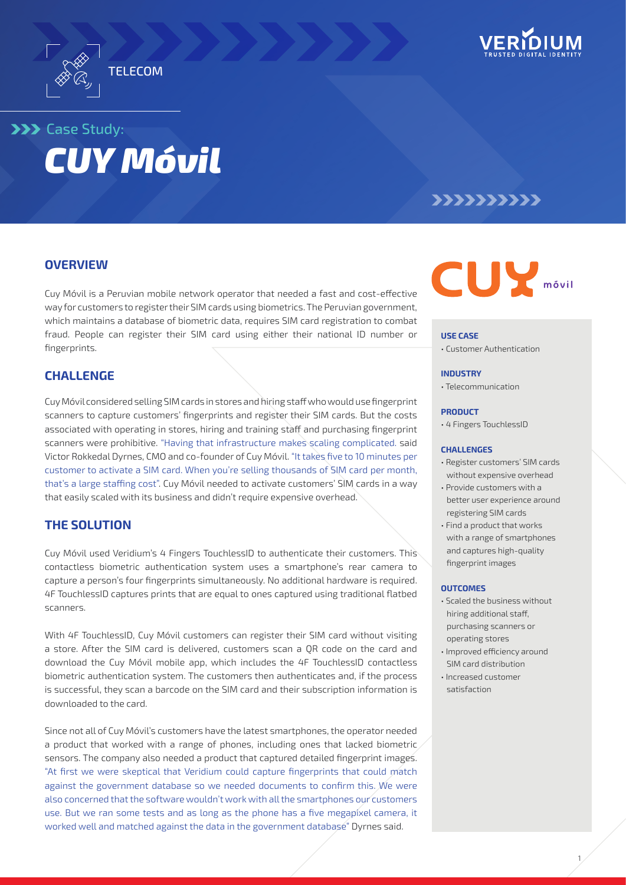



# *CUY Móvil* **>>>** Case Study:

# >>>>>>>>>>

# **OVERVIEW**

Cuy Móvil is a Peruvian mobile network operator that needed a fast and cost-effective way for customers to register their SIM cards using biometrics. The Peruvian government, which maintains a database of biometric data, requires SIM card registration to combat fraud. People can register their SIM card using either their national ID number or fingerprints.

# **CHALLENGE**

Cuy Móvil considered selling SIM cards in stores and hiring staff who would use fingerprint scanners to capture customers' fingerprints and register their SIM cards. But the costs associated with operating in stores, hiring and training staff and purchasing fingerprint scanners were prohibitive. "Having that infrastructure makes scaling complicated. said Victor Rokkedal Dyrnes, CMO and co-founder of Cuy Móvil. "It takes five to 10 minutes per customer to activate a SIM card. When you're selling thousands of SIM card per month, that's a large staffing cost". Cuy Móvil needed to activate customers' SIM cards in a way that easily scaled with its business and didn't require expensive overhead.

# **THE SOLUTION**

Cuy Móvil used Veridium's 4 Fingers TouchlessID to authenticate their customers. This contactless biometric authentication system uses a smartphone's rear camera to capture a person's four fingerprints simultaneously. No additional hardware is required. 4F TouchlessID captures prints that are equal to ones captured using traditional flatbed scanners.

With 4F TouchlessID, Cuy Móvil customers can register their SIM card without visiting a store. After the SIM card is delivered, customers scan a QR code on the card and download the Cuy Móvil mobile app, which includes the 4F TouchlessID contactless biometric authentication system. The customers then authenticates and, if the process is successful, they scan a barcode on the SIM card and their subscription information is downloaded to the card.

Since not all of Cuy Móvil's customers have the latest smartphones, the operator needed a product that worked with a range of phones, including ones that lacked biometric sensors. The company also needed a product that captured detailed fingerprint images. "At first we were skeptical that Veridium could capture fingerprints that could match against the government database so we needed documents to confirm this. We were also concerned that the software wouldn't work with all the smartphones our customers use. But we ran some tests and as long as the phone has a five megapixel camera, it worked well and matched against the data in the government database" Dyrnes said.

# CUY móvil

#### **USE CASE**

• Customer Authentication

#### **INDUSTRY**

• Telecommunication

#### **PRODUCT**

• 4 Fingers TouchlessID

#### **CHALLENGES**

- Register customers' SIM cards without expensive overhead
- Provide customers with a better user experience around registering SIM cards
- Find a product that works with a range of smartphones and captures high-quality fingerprint images

#### **OUTCOMES**

- Scaled the business without hiring additional staff, purchasing scanners or operating stores
- Improved efficiency around SIM card distribution
- Increased customer satisfaction